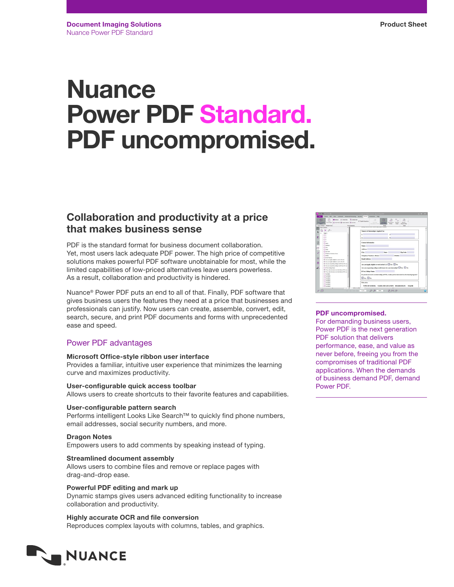# **Nuance** Power PDF Standard. PDF uncompromised.

## Collaboration and productivity at a price that makes business sense

PDF is the standard format for business document collaboration. Yet, most users lack adequate PDF power. The high price of competitive solutions makes powerful PDF software unobtainable for most, while the limited capabilities of low-priced alternatives leave users powerless. As a result, collaboration and productivity is hindered.

Nuance® Power PDF puts an end to all of that. Finally, PDF software that gives business users the features they need at a price that businesses and professionals can justify. Now users can create, assemble, convert, edit, search, secure, and print PDF documents and forms with unprecedented ease and speed.

## Power PDF advantages

## Microsoft Office-style ribbon user interface

Provides a familiar, intuitive user experience that minimizes the learning curve and maximizes productivity.

User-configurable quick access toolbar Allows users to create shortcuts to their favorite features and capabilities.

## User-configurable pattern search

Performs intelligent Looks Like Search™ to quickly find phone numbers, email addresses, social security numbers, and more.

## Dragon Notes

Empowers users to add comments by speaking instead of typing.

## Streamlined document assembly

Allows users to combine files and remove or replace pages with drag-and-drop ease.

## Powerful PDF editing and mark up

Dynamic stamps gives users advanced editing functionality to increase collaboration and productivity.

Highly accurate OCR and file conversion Reproduces complex layouts with columns, tables, and graphics.





## PDF uncompromised.

For demanding business users, Power PDF is the next generation PDF solution that delivers performance, ease, and value as never before, freeing you from the compromises of traditional PDF applications. When the demands of business demand PDF, demand Power PDF.